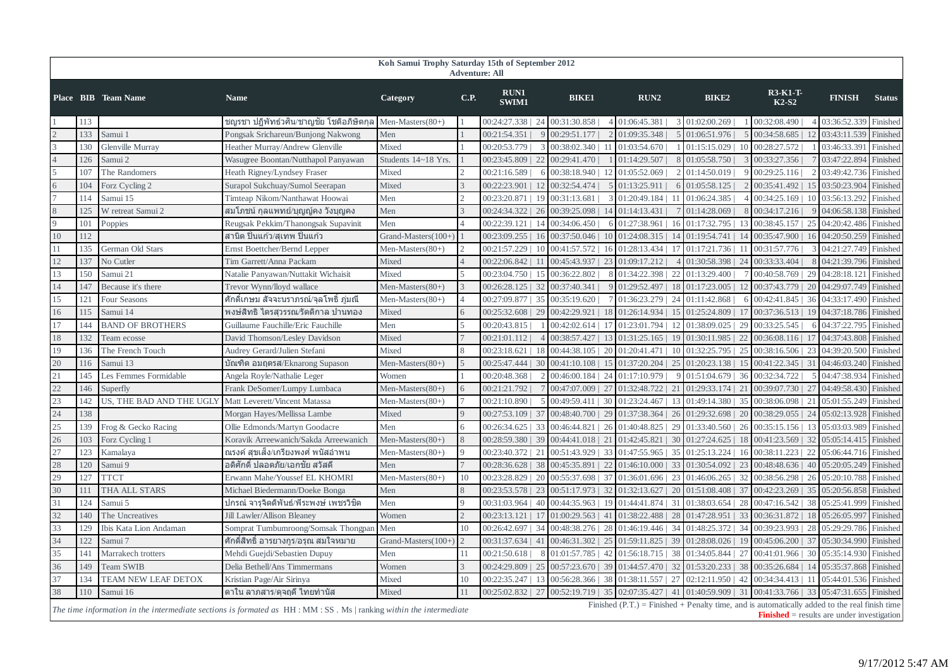| Koh Samui Trophy Saturday 15th of September 2012<br><b>Adventure: All</b>                                                                                                                                                                                                                                                                     |     |                          |                                          |                     |                |                      |                         |    |                                       |     |                        |     |                                     |    |               |               |
|-----------------------------------------------------------------------------------------------------------------------------------------------------------------------------------------------------------------------------------------------------------------------------------------------------------------------------------------------|-----|--------------------------|------------------------------------------|---------------------|----------------|----------------------|-------------------------|----|---------------------------------------|-----|------------------------|-----|-------------------------------------|----|---------------|---------------|
|                                                                                                                                                                                                                                                                                                                                               |     | Place BIB Team Name      | <b>Name</b>                              | Category            | <b>C.P.</b>    | <b>RUN1</b><br>SWIM1 | <b>BIKE1</b>            |    | RUN2                                  |     | <b>BIKE2</b>           |     | <b>R3-K1-T-</b><br>$K2-S2$          |    | <b>FINISH</b> | <b>Status</b> |
|                                                                                                                                                                                                                                                                                                                                               | 113 |                          | ชญรชา ปฏิพัทธ์วศิน/ชาญชัย โชติอภิษิตกุล  | Men-Masters $(80+)$ |                | 00:24:27.338   24    | 00:31:30.858            |    | 4 01:06:45.381                        |     | 3 01:02:00.269         |     | 00:32:08.490                        |    | 03:36:52.339  | Finished      |
|                                                                                                                                                                                                                                                                                                                                               | 133 | Samui                    | Pongsak Srichareun/Bunjong Nakwong       | Men                 |                | 00:21:54.351         | 00:29:51.177            |    | 01:09:35.348                          |     | 01:06:51.976           |     | 00:34:58.685                        |    | 03:43:11.539  | Finished      |
|                                                                                                                                                                                                                                                                                                                                               | 130 | Glenville Murray         | Heather Murray/Andrew Glenville          | Mixed               |                | 00:20:53.779         | 00:38:02.340            |    | 01:03:54.670                          |     | 01:15:15.029           |     | 00:28:27.572                        |    | 03:46:33.39   | Finished      |
|                                                                                                                                                                                                                                                                                                                                               | 126 | Samui 2                  | Wasugree Boontan/Nutthapol Panyawan      | Students 14~18 Yrs. |                | 00:23:45.809   22    | 00:29:41.470            |    | 01:14:29.507                          |     | 01:05:58.750           |     | 00:33:27.356                        |    | 03:47:22.894  | Finished      |
|                                                                                                                                                                                                                                                                                                                                               | 107 | The Randomers            | Heath Rigney/Lyndsey Fraser              | Mixed               | $\mathcal{D}$  | 00:21:16.589         | 00:38:18.940            |    | 01:05:52.069                          |     | 01:14:50.019           |     | 00:29:25.116                        |    | 03:49:42.73   | Finished      |
|                                                                                                                                                                                                                                                                                                                                               | 104 | Forz Cycling 2           | Surapol Sukchuay/Sumol Seerapan          | Mixed               | 3              | 00:22:23.901         | 00:32:54.474            |    | 01:13:25.911                          |     | 01:05:58.125           |     | 00:35:41.492                        |    | 03:50:23.90   | Finished      |
|                                                                                                                                                                                                                                                                                                                                               | 114 | Samui 15                 | Timteap Nikom/Nanthawat Hoowai           | Men                 | 2              | 00:23:20.871   19    | 00:31:13.681            |    | 01:20:49.184                          | -11 | 01:06:24.385           |     | 00:34:25.169                        | 10 | 03:56:13.292  | Finished      |
|                                                                                                                                                                                                                                                                                                                                               | 125 | W retreat Samui 2        | ี่สมโภชน์ กุลแพทย์/บุญญู้คง วังบุญคง     | Men                 | $\mathcal{R}$  | 00:24:34.322  <br>26 | 00:39:25.098            |    | 01:14:13.431                          |     | 01:14:28.069           |     | 00:34:17.216                        |    | 04:06:58.13   | Finished      |
|                                                                                                                                                                                                                                                                                                                                               | 101 | Poppies                  | Reugsak Pekkim/Thanongsak Supavinit      | Men                 |                | 00:22:39.121         | 00:34:06.450            |    | 01:27:38.961                          |     | 01:17:32.795           |     | 00:38:45.157                        | 25 | 04:20:42.48   | Finished      |
| 10                                                                                                                                                                                                                                                                                                                                            | 112 |                          | ี่สานิต ปิ่นแก้ว/สเทพ ปิ่นแก้ว           | Grand-Masters(100+  |                | 00:23:09.255   16    | 00:37:50.046            | 10 | $01:24:08.315$   14                   |     | $01:19:54.741$   14    |     | 00:35:47.900                        | 16 | 04:20:50.259  | Finished      |
| 11                                                                                                                                                                                                                                                                                                                                            | 135 | German Old Stars         | Ernst Boettcher/Bernd Lepper             | Men-Masters $(80+)$ | $\overline{2}$ | 00:21:57.229<br>-10  | $00:41:57.572 \perp 16$ |    | $01:28:13.434 \perp 17$               |     | 01:17:21.736           | -11 | 00:31:57.776                        |    | 04:21:27.749  | Finished      |
| 12                                                                                                                                                                                                                                                                                                                                            | 137 | No Cutler                | Tim Garrett/Anna Packam                  | Mixed               |                | 00:22:06.842         | 00:45:43.937   23       |    | 01:09:17.212                          |     | 01:30:58.398   24      |     | 00:33:33.404                        |    | 04:21:39.79   | Finished      |
| 13                                                                                                                                                                                                                                                                                                                                            | 150 | Samui 21                 | Natalie Panyawan/Nuttakit Wichaisit      | Mixed               | 5              | 00:23:04.750   15    | 00:36:22.802            |    | 01:34:22.398                          | 22  | 01:13:29.400           |     | 00:40:58.769   29                   |    | 04:28:18.12   | Finished      |
| 14                                                                                                                                                                                                                                                                                                                                            | 147 | Because it's there       | Trevor Wynn/lloyd wallace                | Men-Masters $(80+)$ | 3              | 00:26:28.125   32    | 00:37:40.341            |    | $01:29:52.497 \mid 18$                |     | $01:17:23.005$   12    |     | $00:37:43.779$   20                 |    | 04:29:07.749  | Finished      |
| 15                                                                                                                                                                                                                                                                                                                                            | 121 | Four Seasons             | ์ ศักดิ์เกษม สัจจะนราภรณ์⁄จลโพธิ์ ภ่มณี  | Men-Masters(80+)    | $\overline{4}$ | 00:27:09.877   35    | 00:35:19.620            |    | 01:36:23.279   24                     |     | 01:11:42.868           |     | 00:42:41.845   36                   |    | 04:33:17.490  | Finished      |
| 16                                                                                                                                                                                                                                                                                                                                            | 115 | Samui 14                 | พงษ์สิทธิ ไตรสวรรณ⁄รัตติกาล ปานทอง       | Mixed               | 6              | 00:25:32.608   29    | 00:42:29.921            | 18 | 01:26:14.934   15                     |     | 01:25:24.809   17      |     | 00:37:36.513   19                   |    | 04:37:18.786  | Finished      |
| 17                                                                                                                                                                                                                                                                                                                                            | 144 | <b>BAND OF BROTHERS</b>  | Guillaume Fauchille/Eric Fauchille       | Men                 | $\overline{5}$ | 00:20:43.815         | 00:42:02.614   17       |    | $01:23:01.794$   12                   |     | 01:38:09.025   29      |     | 00:33:25.545                        |    | 04:37:22.795  | Finished      |
| 18                                                                                                                                                                                                                                                                                                                                            | 132 | Team ecosse              | David Thomson/Lesley Davidson            | Mixed               |                | 00:21:01.112         | 00:38:57.427            |    | $01:31:25.165$   19                   |     | 01:30:11.985   22      |     | 00:36:08.116   17                   |    | 04:37:43.808  | Finished      |
| 19                                                                                                                                                                                                                                                                                                                                            | 136 | The French Touch         | Audrey Gerard/Julien Stefani             | Mixed               | 8              | 00:23:18.621<br>18   | 00:44:38.105   20       |    | $01:20:41.471$   10                   |     | 01:32:25.795   25      |     | 00:38:16.506   23                   |    | 04:39:20.500  | Finished      |
| 20                                                                                                                                                                                                                                                                                                                                            | 116 | Samui 13                 | บัณฑิต อมฤตรส/Eknarong Supason           | Men-Masters(80+)    | $\overline{5}$ | 00:25:47.444   30    | 00:41:10.108            | 15 | $01:37:20.204$   25                   |     | $01:20:23.138$   15    |     | $00:41:22.345$   31                 |    | 04:46:03.240  | Finished      |
| 21                                                                                                                                                                                                                                                                                                                                            | 145 | Les Femmes Formidable    | Angela Royle/Nathalie Leger              | Women               |                | 00:20:48.368         | $00:46:00.184$   24     |    | 01:17:10.979                          |     | $01:51:04.679$   36    |     | 00:32:34.722                        |    | 04:47:38.934  | Finished      |
| 22                                                                                                                                                                                                                                                                                                                                            | 146 | Superfly                 | Frank DeSomer/Lumpy Lumbaca              | Men-Masters $(80+)$ | 6              | 00:21:21.792         | 00:47:07.009   27       |    | 01:32:48.722   21                     |     | 01:29:33.174   21      |     | 00:39:07.730                        | 27 | 04:49:58.43   | Finished      |
| 23                                                                                                                                                                                                                                                                                                                                            | 142 | US. THE BAD AND THE UGLY | Matt Leverett/Vincent Matassa            | Men-Masters(80+)    | $\overline{7}$ | 00:21:10.890         | $00:49:59.411 \div 30$  |    | 01:23:24.467                          | -13 | 01:49:14.380   35      |     | 00:38:06.098                        | 21 | 05:01:55.249  | Finished      |
| 24                                                                                                                                                                                                                                                                                                                                            | 138 |                          | Morgan Hayes/Mellissa Lambe              | Mixed               | $\overline{Q}$ | 00:27:53.109   37    | $00:48:40.700$   29     |    | $01:37:38.364$   26                   |     | 01:29:32.698   20      |     | 00:38:29.055   24                   |    | 05:02:13.928  | Finished      |
| 25                                                                                                                                                                                                                                                                                                                                            | 139 | Frog & Gecko Racing      | Ollie Edmonds/Martyn Goodacre            | Men                 | 6              | 00:26:34.625   33    | $00:46:44.821$   26     |    | 01:40:48.825   29                     |     | $01:33:40.560$   26    |     | 00:35:15.156                        |    | 05:03:03.989  | Finished      |
| 26                                                                                                                                                                                                                                                                                                                                            | 103 | Forz Cycling 1           | Koravik Arreewanich/Sakda Arreewanich    | Men-Masters $(80+)$ | 8              | 00:28:59.380<br>39   | 00:44:41.018   21       |    | $01:42:45.821$   30                   |     | $01:27:24.625$   18    |     | 00:41:23.569                        | 32 | 05:05:14.41   | Finished      |
| 27                                                                                                                                                                                                                                                                                                                                            | 123 | Kamalaya                 | ึณรงค์ สขเส็ง/เกรียงพงศ์ พนัสอำพน        | Men-Masters $(80+)$ | $\overline{Q}$ | 00:23:40.372   21    | $00:51:43.929$   33     |    | $01:47:55.965$   35                   |     | $01:25:13.224 \mid 16$ |     | 00:38:11.223                        | 22 | 05:06:44.71   | Finished      |
| 28                                                                                                                                                                                                                                                                                                                                            | 120 | Samui 9                  | ็อดิศักดิ์ ปลอดภัย/เอกชัย สวัสดี         | Men                 |                | 00:28:36.628   38    | 00:45:35.891   22       |    | $01:46:10.000$   33                   |     | 01:30:54.092   23      |     | 00:48:48.636                        | 40 | 05:20:05.249  | Finished      |
| 29                                                                                                                                                                                                                                                                                                                                            | 127 | <b>TTCT</b>              | Erwann Mahe/Youssef EL KHOMRI            | Men-Masters(80+)    | 10             | 00:23:28.829   20    | 00:55:37.698   37       |    | $01:36:01.696$   23                   |     | 01:46:06.265   32      |     | 00:38:56.298   26                   |    | 05:20:10.788  | Finished      |
| 30                                                                                                                                                                                                                                                                                                                                            | 111 | THA ALL STARS            | Michael Biedermann/Doeke Bonga           | Men                 | 8              | 00:23:53.578   23    | 00:51:17.973   32       |    | $01:32:13.627$   20                   |     | 01:51:08.408   37      |     | 00:42:23.269   35                   |    | 05:20:56.858  | Finished      |
| 31                                                                                                                                                                                                                                                                                                                                            | 124 | Samui 5                  | ุปกรณ์ จารุจิตติพันธ์/พีระพงษ์ เพชรวิชิต | Men                 | $\overline{9}$ | $00:31:03.964$   40  | 00:44:35.963   19       |    | $01:44:41.874$   31                   |     | $01:38:03.654$   28    |     | $00:47:16.542$   38                 |    | 05:25:41.999  | Finished      |
| 32                                                                                                                                                                                                                                                                                                                                            | 140 | The Uncreatives          | Jill Lawler/Allison Bleaney              | Women               | 2              | 00:23:13.121   17    |                         |    | $01:00:29.563$   41 01:38:22.488   28 |     |                        |     | 01:47:28.951   33 00:36:31.872   18 |    | 05:26:05.99   | Finished      |
| 33                                                                                                                                                                                                                                                                                                                                            | 129 | Ibis Kata Lion Andaman   | Somprat Tumbumroong/Somsak Thongpar      | Men                 | 10             | 00:26:42.697   34    | 00:48:38.276   28       |    | 01:46:19.446   34                     |     | 01:48:25.372   34      |     | $00:39:23.993$   28                 |    | 05:29:29.786  | Finished      |
| 34                                                                                                                                                                                                                                                                                                                                            | 122 | Samui 7                  | ์ศักดิ์สิทธิ์ อารยางกูร/อรุณ สมใจหมาย    | Grand-Masters(100+  | $\overline{2}$ | 00:31:37.634   41    |                         |    | 00:46:31.302   25   01:59:11.825   39 |     | $01:28:08.026$   19    |     | 00:45:06.200   37                   |    | 05:30:34.99   | Finished      |
| 35                                                                                                                                                                                                                                                                                                                                            | 141 | Marrakech trotters       | Mehdi Guejdi/Sebastien Dupuy             | Men                 | 11             | 00:21:50.618         | $01:01:57.785$   42     |    | $01:56:18.715$   38                   |     | 01:34:05.844   27      |     | $00:41:01.966$   30                 |    | 05:35:14.930  | Finished      |
| 36                                                                                                                                                                                                                                                                                                                                            | 149 | <b>Team SWIB</b>         | Delia Bethell/Ans Timmermans             | Women               | 3              | 00:24:29.809<br>25   | $00:57:23.670$   39     |    | 01:44:57.470   32                     |     | $01:53:20.233 \mid 38$ |     | 00:35:26.684                        |    | 05:35:37.868  | Finished      |
| 37                                                                                                                                                                                                                                                                                                                                            | 134 | TEAM NEW LEAF DETOX      | Kristian Page/Air Sirinya                | Mixed               | 10             | 00:22:35.247   13    | $00:56:28.366$   38     |    | 01:38:11.557   27                     |     | 02:12:11.950   42      |     | $00:34:34.413 \mid 11$              |    | 05:44:01.536  | Finished      |
| 38                                                                                                                                                                                                                                                                                                                                            | 110 | Samui 16                 | ิดาใน ลาภสาร/ดุจฤดี ไทยทำนัส             | <b>Mixed</b>        | 11             | 00:25:02.832<br>27   |                         |    |                                       |     |                        |     | 00:41:33.766                        | 33 | 05:47:31.655  | Finished      |
| 00:52:19.719   35   02:07:35.427   41   01:40:59.909   31<br>Finished $(P.T.)$ = Finished + Penalty time, and is automatically added to the real finish time<br>The time information in the intermediate sections is formated as $HH : MM : SS$ . Ms $ $ ranking within the intermediate<br><b>Finished</b> = results are under investigation |     |                          |                                          |                     |                |                      |                         |    |                                       |     |                        |     |                                     |    |               |               |